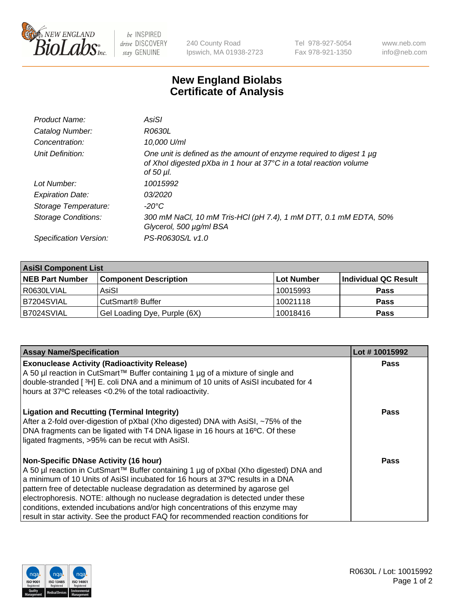

 $be$  INSPIRED drive DISCOVERY stay GENUINE

240 County Road Ipswich, MA 01938-2723 Tel 978-927-5054 Fax 978-921-1350 www.neb.com info@neb.com

## **New England Biolabs Certificate of Analysis**

| Product Name:              | AsiSI                                                                                                                                                  |
|----------------------------|--------------------------------------------------------------------------------------------------------------------------------------------------------|
| Catalog Number:            | R0630L                                                                                                                                                 |
| Concentration:             | 10,000 U/ml                                                                                                                                            |
| Unit Definition:           | One unit is defined as the amount of enzyme required to digest 1 µg<br>of Xhol digested pXba in 1 hour at 37°C in a total reaction volume<br>of 50 µl. |
| Lot Number:                | 10015992                                                                                                                                               |
| <b>Expiration Date:</b>    | 03/2020                                                                                                                                                |
| Storage Temperature:       | $-20^{\circ}$ C                                                                                                                                        |
| <b>Storage Conditions:</b> | 300 mM NaCl, 10 mM Tris-HCl (pH 7.4), 1 mM DTT, 0.1 mM EDTA, 50%<br>Glycerol, 500 µg/ml BSA                                                            |
| Specification Version:     | PS-R0630S/L v1.0                                                                                                                                       |

| <b>AsiSI Component List</b> |                              |            |                      |  |  |
|-----------------------------|------------------------------|------------|----------------------|--|--|
| <b>NEB Part Number</b>      | <b>Component Description</b> | Lot Number | Individual QC Result |  |  |
| R0630LVIAL                  | AsiSI                        | 10015993   | <b>Pass</b>          |  |  |
| B7204SVIAL                  | CutSmart <sup>®</sup> Buffer | 10021118   | <b>Pass</b>          |  |  |
| B7024SVIAL                  | Gel Loading Dye, Purple (6X) | 10018416   | <b>Pass</b>          |  |  |

| <b>Assay Name/Specification</b>                                                                                                                                                                                                                                                                                                                                                                                                                                                                                                                                     | Lot #10015992 |
|---------------------------------------------------------------------------------------------------------------------------------------------------------------------------------------------------------------------------------------------------------------------------------------------------------------------------------------------------------------------------------------------------------------------------------------------------------------------------------------------------------------------------------------------------------------------|---------------|
| <b>Exonuclease Activity (Radioactivity Release)</b><br>A 50 µl reaction in CutSmart™ Buffer containing 1 µg of a mixture of single and<br>double-stranded [3H] E. coli DNA and a minimum of 10 units of AsiSI incubated for 4                                                                                                                                                                                                                                                                                                                                       | <b>Pass</b>   |
| hours at 37°C releases <0.2% of the total radioactivity.                                                                                                                                                                                                                                                                                                                                                                                                                                                                                                            |               |
| <b>Ligation and Recutting (Terminal Integrity)</b><br>After a 2-fold over-digestion of pXbal (Xho digested) DNA with AsiSI, ~75% of the<br>DNA fragments can be ligated with T4 DNA ligase in 16 hours at 16°C. Of these<br>ligated fragments, >95% can be recut with AsiSI.                                                                                                                                                                                                                                                                                        | Pass          |
| <b>Non-Specific DNase Activity (16 hour)</b><br>A 50 µl reaction in CutSmart™ Buffer containing 1 µg of pXbal (Xho digested) DNA and<br>a minimum of 10 Units of AsiSI incubated for 16 hours at 37°C results in a DNA<br>pattern free of detectable nuclease degradation as determined by agarose gel<br>electrophoresis. NOTE: although no nuclease degradation is detected under these<br>conditions, extended incubations and/or high concentrations of this enzyme may<br>result in star activity. See the product FAQ for recommended reaction conditions for | Pass          |